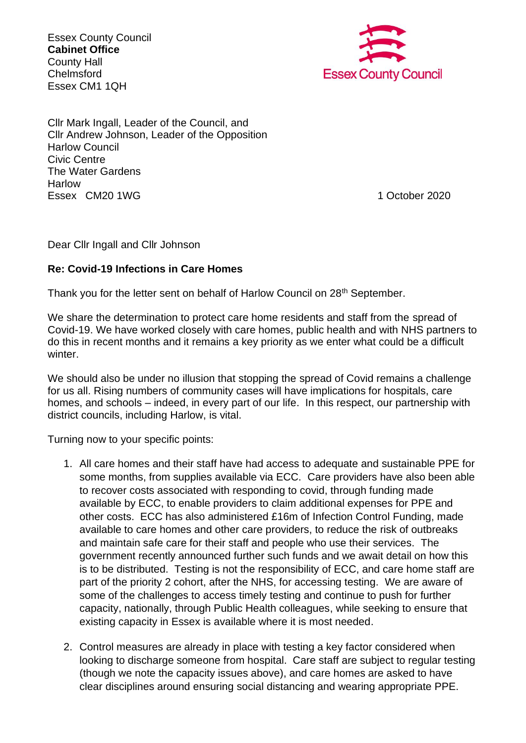Essex County Council **Cabinet Office** County Hall Chelmsford Essex CM1 1QH



Cllr Mark Ingall, Leader of the Council, and Cllr Andrew Johnson, Leader of the Opposition Harlow Council Civic Centre The Water Gardens Harlow Essex CM20 1WG 1 2020 1 2020 1 2020 1 2020 1 2020 1 2020 1 2020 1 2020 1 2020 1 2020 1 2020 1 2020 1 2020 1 20

Dear Cllr Ingall and Cllr Johnson

## **Re: Covid-19 Infections in Care Homes**

Thank you for the letter sent on behalf of Harlow Council on 28<sup>th</sup> September.

We share the determination to protect care home residents and staff from the spread of Covid-19. We have worked closely with care homes, public health and with NHS partners to do this in recent months and it remains a key priority as we enter what could be a difficult winter.

We should also be under no illusion that stopping the spread of Covid remains a challenge for us all. Rising numbers of community cases will have implications for hospitals, care homes, and schools – indeed, in every part of our life. In this respect, our partnership with district councils, including Harlow, is vital.

Turning now to your specific points:

- 1. All care homes and their staff have had access to adequate and sustainable PPE for some months, from supplies available via ECC. Care providers have also been able to recover costs associated with responding to covid, through funding made available by ECC, to enable providers to claim additional expenses for PPE and other costs. ECC has also administered £16m of Infection Control Funding, made available to care homes and other care providers, to reduce the risk of outbreaks and maintain safe care for their staff and people who use their services. The government recently announced further such funds and we await detail on how this is to be distributed. Testing is not the responsibility of ECC, and care home staff are part of the priority 2 cohort, after the NHS, for accessing testing. We are aware of some of the challenges to access timely testing and continue to push for further capacity, nationally, through Public Health colleagues, while seeking to ensure that existing capacity in Essex is available where it is most needed.
- 2. Control measures are already in place with testing a key factor considered when looking to discharge someone from hospital. Care staff are subject to regular testing (though we note the capacity issues above), and care homes are asked to have clear disciplines around ensuring social distancing and wearing appropriate PPE.